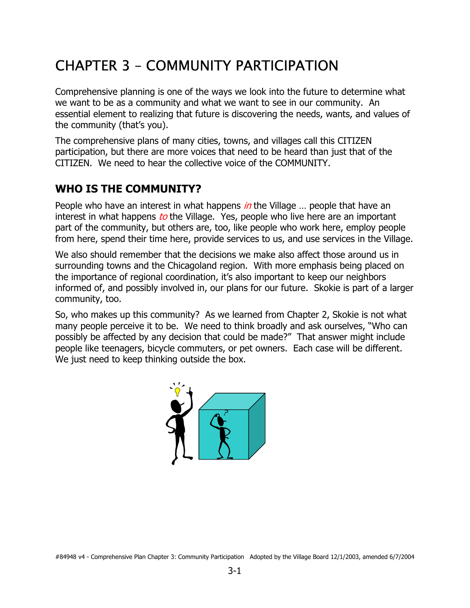# CHAPTER 3 – COMMUNITY PARTICIPATION

Comprehensive planning is one of the ways we look into the future to determine what we want to be as a community and what we want to see in our community. An essential element to realizing that future is discovering the needs, wants, and values of the community (that's you).

The comprehensive plans of many cities, towns, and villages call this CITIZEN participation, but there are more voices that need to be heard than just that of the CITIZEN. We need to hear the collective voice of the COMMUNITY.

#### **WHO IS THE COMMUNITY?**

People who have an interest in what happens in the Village ... people that have an interest in what happens to the Village. Yes, people who live here are an important part of the community, but others are, too, like people who work here, employ people from here, spend their time here, provide services to us, and use services in the Village.

We also should remember that the decisions we make also affect those around us in surrounding towns and the Chicagoland region. With more emphasis being placed on the importance of regional coordination, it's also important to keep our neighbors informed of, and possibly involved in, our plans for our future. Skokie is part of a larger community, too.

So, who makes up this community? As we learned from Chapter 2, Skokie is not what many people perceive it to be. We need to think broadly and ask ourselves, "Who can possibly be affected by any decision that could be made?" That answer might include people like teenagers, bicycle commuters, or pet owners. Each case will be different. We just need to keep thinking outside the box.

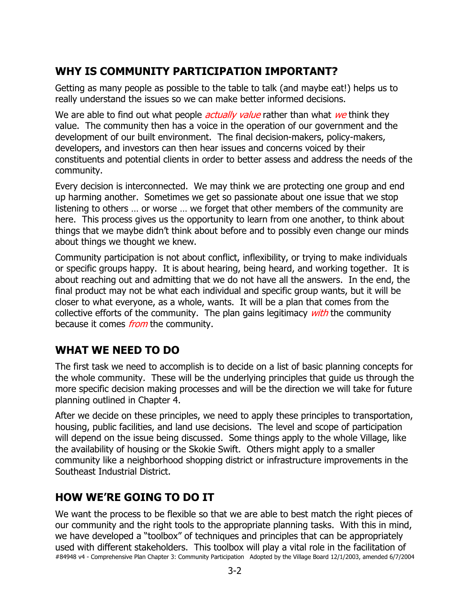### **WHY IS COMMUNITY PARTICIPATION IMPORTANT?**

Getting as many people as possible to the table to talk (and maybe eat!) helps us to really understand the issues so we can make better informed decisions.

We are able to find out what people *actually value* rather than what we think they value. The community then has a voice in the operation of our government and the development of our built environment. The final decision-makers, policy-makers, developers, and investors can then hear issues and concerns voiced by their constituents and potential clients in order to better assess and address the needs of the community.

Every decision is interconnected. We may think we are protecting one group and end up harming another. Sometimes we get so passionate about one issue that we stop listening to others … or worse … we forget that other members of the community are here. This process gives us the opportunity to learn from one another, to think about things that we maybe didn't think about before and to possibly even change our minds about things we thought we knew.

Community participation is not about conflict, inflexibility, or trying to make individuals or specific groups happy. It is about hearing, being heard, and working together. It is about reaching out and admitting that we do not have all the answers. In the end, the final product may not be what each individual and specific group wants, but it will be closer to what everyone, as a whole, wants. It will be a plan that comes from the collective efforts of the community. The plan gains legitimacy *with* the community because it comes *from* the community.

#### **WHAT WE NEED TO DO**

The first task we need to accomplish is to decide on a list of basic planning concepts for the whole community. These will be the underlying principles that guide us through the more specific decision making processes and will be the direction we will take for future planning outlined in Chapter 4.

After we decide on these principles, we need to apply these principles to transportation, housing, public facilities, and land use decisions. The level and scope of participation will depend on the issue being discussed. Some things apply to the whole Village, like the availability of housing or the Skokie Swift. Others might apply to a smaller community like a neighborhood shopping district or infrastructure improvements in the Southeast Industrial District.

#### **HOW WE'RE GOING TO DO IT**

#84948 v4 - Comprehensive Plan Chapter 3: Community Participation Adopted by the Village Board 12/1/2003, amended 6/7/2004 We want the process to be flexible so that we are able to best match the right pieces of our community and the right tools to the appropriate planning tasks. With this in mind, we have developed a "toolbox" of techniques and principles that can be appropriately used with different stakeholders. This toolbox will play a vital role in the facilitation of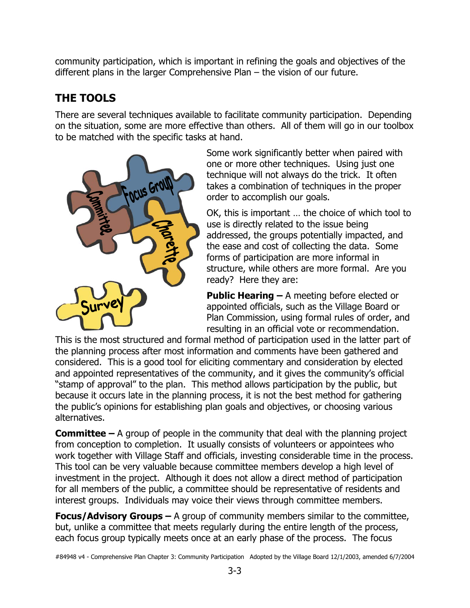community participation, which is important in refining the goals and objectives of the different plans in the larger Comprehensive Plan – the vision of our future.

## **THE TOOLS**

There are several techniques available to facilitate community participation. Depending on the situation, some are more effective than others. All of them will go in our toolbox to be matched with the specific tasks at hand.



Some work significantly better when paired with one or more other techniques. Using just one technique will not always do the trick. It often takes a combination of techniques in the proper order to accomplish our goals.

OK, this is important … the choice of which tool to use is directly related to the issue being addressed, the groups potentially impacted, and the ease and cost of collecting the data. Some forms of participation are more informal in structure, while others are more formal. Are you ready? Here they are:

**Public Hearing –** A meeting before elected or appointed officials, such as the Village Board or Plan Commission, using formal rules of order, and resulting in an official vote or recommendation.

This is the most structured and formal method of participation used in the latter part of the planning process after most information and comments have been gathered and considered. This is a good tool for eliciting commentary and consideration by elected and appointed representatives of the community, and it gives the community's official "stamp of approval" to the plan. This method allows participation by the public, but because it occurs late in the planning process, it is not the best method for gathering the public's opinions for establishing plan goals and objectives, or choosing various alternatives.

**Committee –** A group of people in the community that deal with the planning project from conception to completion. It usually consists of volunteers or appointees who work together with Village Staff and officials, investing considerable time in the process. This tool can be very valuable because committee members develop a high level of investment in the project. Although it does not allow a direct method of participation for all members of the public, a committee should be representative of residents and interest groups. Individuals may voice their views through committee members.

**Focus/Advisory Groups –** A group of community members similar to the committee, but, unlike a committee that meets regularly during the entire length of the process, each focus group typically meets once at an early phase of the process. The focus